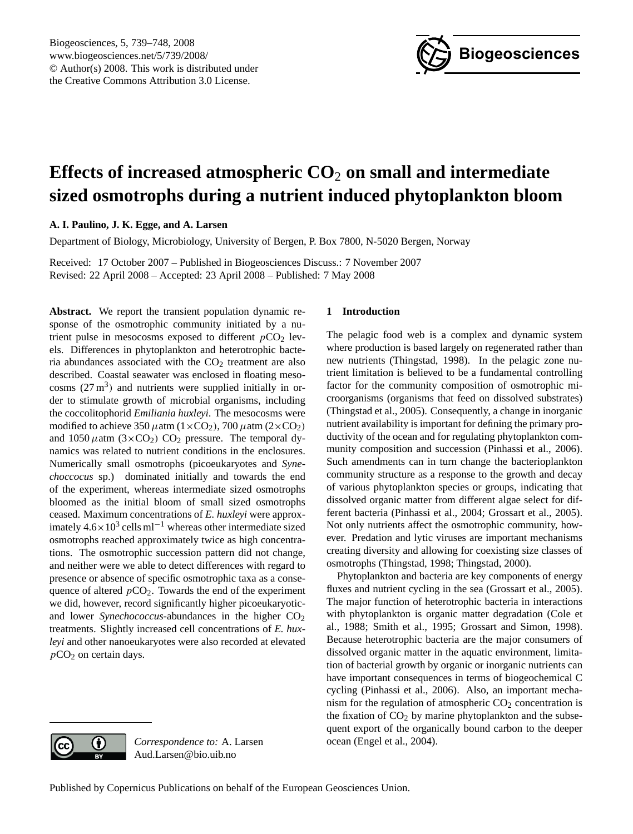

# <span id="page-0-0"></span>**Effects of increased atmospheric CO**<sup>2</sup> **on small and intermediate sized osmotrophs during a nutrient induced phytoplankton bloom**

**A. I. Paulino, J. K. Egge, and A. Larsen**

Department of Biology, Microbiology, University of Bergen, P. Box 7800, N-5020 Bergen, Norway

Received: 17 October 2007 – Published in Biogeosciences Discuss.: 7 November 2007 Revised: 22 April 2008 – Accepted: 23 April 2008 – Published: 7 May 2008

**Abstract.** We report the transient population dynamic response of the osmotrophic community initiated by a nutrient pulse in mesocosms exposed to different  $pCO<sub>2</sub>$  levels. Differences in phytoplankton and heterotrophic bacteria abundances associated with the  $CO<sub>2</sub>$  treatment are also described. Coastal seawater was enclosed in floating mesocosms  $(27 \text{ m}^3)$  and nutrients were supplied initially in order to stimulate growth of microbial organisms, including the coccolitophorid *Emiliania huxleyi*. The mesocosms were modified to achieve 350  $\mu$ atm (1×CO<sub>2</sub>), 700  $\mu$ atm (2×CO<sub>2</sub>) and  $1050 \mu$ atm (3×CO<sub>2</sub>) CO<sub>2</sub> pressure. The temporal dynamics was related to nutrient conditions in the enclosures. Numerically small osmotrophs (picoeukaryotes and *Synechoccocus* sp.) dominated initially and towards the end of the experiment, whereas intermediate sized osmotrophs bloomed as the initial bloom of small sized osmotrophs ceased. Maximum concentrations of *E. huxleyi* were approximately  $4.6 \times 10^3$  cells ml<sup>-1</sup> whereas other intermediate sized osmotrophs reached approximately twice as high concentrations. The osmotrophic succession pattern did not change, and neither were we able to detect differences with regard to presence or absence of specific osmotrophic taxa as a consequence of altered  $pCO<sub>2</sub>$ . Towards the end of the experiment we did, however, record significantly higher picoeukaryoticand lower *Synechococcus*-abundances in the higher  $CO<sub>2</sub>$ treatments. Slightly increased cell concentrations of *E. huxleyi* and other nanoeukaryotes were also recorded at elevated  $pCO<sub>2</sub>$  on certain days.

## **1 Introduction**

The pelagic food web is a complex and dynamic system where production is based largely on regenerated rather than new nutrients (Thingstad, 1998). In the pelagic zone nutrient limitation is believed to be a fundamental controlling factor for the community composition of osmotrophic microorganisms (organisms that feed on dissolved substrates) (Thingstad et al., 2005). Consequently, a change in inorganic nutrient availability is important for defining the primary productivity of the ocean and for regulating phytoplankton community composition and succession (Pinhassi et al., 2006). Such amendments can in turn change the bacterioplankton community structure as a response to the growth and decay of various phytoplankton species or groups, indicating that dissolved organic matter from different algae select for different bacteria (Pinhassi et al., 2004; Grossart et al., 2005). Not only nutrients affect the osmotrophic community, however. Predation and lytic viruses are important mechanisms creating diversity and allowing for coexisting size classes of osmotrophs (Thingstad, 1998; Thingstad, 2000).

Phytoplankton and bacteria are key components of energy fluxes and nutrient cycling in the sea (Grossart et al., 2005). The major function of heterotrophic bacteria in interactions with phytoplankton is organic matter degradation (Cole et al., 1988; Smith et al., 1995; Grossart and Simon, 1998). Because heterotrophic bacteria are the major consumers of dissolved organic matter in the aquatic environment, limitation of bacterial growth by organic or inorganic nutrients can have important consequences in terms of biogeochemical C cycling (Pinhassi et al., 2006). Also, an important mechanism for the regulation of atmospheric  $CO<sub>2</sub>$  concentration is the fixation of  $CO<sub>2</sub>$  by marine phytoplankton and the subsequent export of the organically bound carbon to the deeper ocean (Engel et al., 2004).



 $\left( \cdot \right)$ 

*Correspondence to:* A. Larsen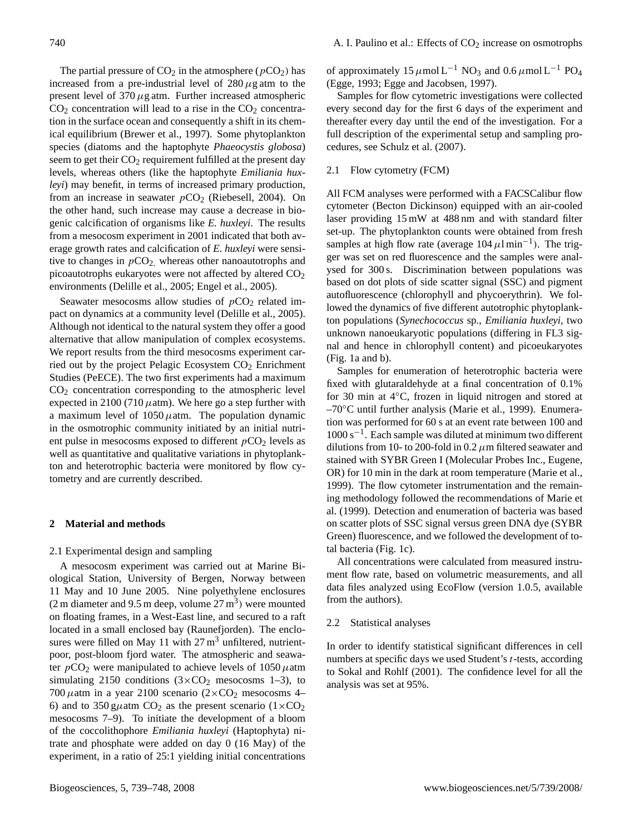The partial pressure of  $CO<sub>2</sub>$  in the atmosphere ( $pCO<sub>2</sub>$ ) has increased from a pre-industrial level of  $280 \mu$ g atm to the present level of  $370 \mu$ g atm. Further increased atmospheric  $CO<sub>2</sub>$  concentration will lead to a rise in the  $CO<sub>2</sub>$  concentration in the surface ocean and consequently a shift in its chemical equilibrium (Brewer et al., 1997). Some phytoplankton species (diatoms and the haptophyte *Phaeocystis globosa*) seem to get their CO<sub>2</sub> requirement fulfilled at the present day levels, whereas others (like the haptophyte *Emiliania huxleyi*) may benefit, in terms of increased primary production, from an increase in seawater  $pCO<sub>2</sub>$  (Riebesell, 2004). On the other hand, such increase may cause a decrease in biogenic calcification of organisms like *E. huxleyi*. The results from a mesocosm experiment in 2001 indicated that both average growth rates and calcification of *E. huxleyi* were sensitive to changes in  $pCO<sub>2</sub>$ , whereas other nanoautotrophs and picoautotrophs eukaryotes were not affected by altered  $CO<sub>2</sub>$ environments (Delille et al., 2005; Engel et al., 2005).

Seawater mesocosms allow studies of  $pCO<sub>2</sub>$  related impact on dynamics at a community level (Delille et al., 2005). Although not identical to the natural system they offer a good alternative that allow manipulation of complex ecosystems. We report results from the third mesocosms experiment carried out by the project Pelagic Ecosystem CO<sub>2</sub> Enrichment Studies (PeECE). The two first experiments had a maximum  $CO<sub>2</sub>$  concentration corresponding to the atmospheric level expected in 2100 (710  $\mu$ atm). We here go a step further with a maximum level of  $1050 \mu$ atm. The population dynamic in the osmotrophic community initiated by an initial nutrient pulse in mesocosms exposed to different  $pCO<sub>2</sub>$  levels as well as quantitative and qualitative variations in phytoplankton and heterotrophic bacteria were monitored by flow cytometry and are currently described.

#### **2 Material and methods**

#### 2.1 Experimental design and sampling

A mesocosm experiment was carried out at Marine Biological Station, University of Bergen, Norway between 11 May and 10 June 2005. Nine polyethylene enclosures  $(2 \text{ m diameter and } 9.5 \text{ m deep, volume } 27 \text{ m}^3)$  were mounted on floating frames, in a West-East line, and secured to a raft located in a small enclosed bay (Raunefjorden). The enclosures were filled on May 11 with  $27 \text{ m}^3$  unfiltered, nutrientpoor, post-bloom fjord water. The atmospheric and seawater  $pCO_2$  were manipulated to achieve levels of 1050  $\mu$ atm simulating 2150 conditions  $(3 \times CO_2$  mesocosms 1–3), to 700  $\mu$ atm in a year 2100 scenario (2×CO<sub>2</sub> mesocosms 4– 6) and to 350 g $\mu$ atm CO<sub>2</sub> as the present scenario (1×CO<sub>2</sub>) mesocosms 7–9). To initiate the development of a bloom of the coccolithophore *Emiliania huxleyi* (Haptophyta) nitrate and phosphate were added on day 0 (16 May) of the experiment, in a ratio of 25:1 yielding initial concentrations

of approximately 15  $\mu$ mol L<sup>-1</sup> NO<sub>3</sub> and 0.6  $\mu$ mol L<sup>-1</sup> PO<sub>4</sub> (Egge, 1993; Egge and Jacobsen, 1997).

Samples for flow cytometric investigations were collected every second day for the first 6 days of the experiment and thereafter every day until the end of the investigation. For a full description of the experimental setup and sampling procedures, see Schulz et al. (2007).

## 2.1 Flow cytometry (FCM)

All FCM analyses were performed with a FACSCalibur flow cytometer (Becton Dickinson) equipped with an air-cooled laser providing 15 mW at 488 nm and with standard filter set-up. The phytoplankton counts were obtained from fresh samples at high flow rate (average  $104 \,\mu\text{l min}^{-1}$ ). The trigger was set on red fluorescence and the samples were analysed for 300 s. Discrimination between populations was based on dot plots of side scatter signal (SSC) and pigment autofluorescence (chlorophyll and phycoerythrin). We followed the dynamics of five different autotrophic phytoplankton populations (*Synechococcus* sp., *Emiliania huxleyi*, two unknown nanoeukaryotic populations (differing in FL3 signal and hence in chlorophyll content) and picoeukaryotes (Fig. 1a and b).

Samples for enumeration of heterotrophic bacteria were fixed with glutaraldehyde at a final concentration of 0.1% for 30 min at 4◦C, frozen in liquid nitrogen and stored at –70◦C until further analysis (Marie et al., 1999). Enumeration was performed for 60 s at an event rate between 100 and 1000 s−<sup>1</sup> . Each sample was diluted at minimum two different dilutions from 10- to 200-fold in 0.2  $\mu$ m filtered seawater and stained with SYBR Green I (Molecular Probes Inc., Eugene, OR) for 10 min in the dark at room temperature (Marie et al., 1999). The flow cytometer instrumentation and the remaining methodology followed the recommendations of Marie et al. (1999). Detection and enumeration of bacteria was based on scatter plots of SSC signal versus green DNA dye (SYBR Green) fluorescence, and we followed the development of total bacteria (Fig. 1c).

All concentrations were calculated from measured instrument flow rate, based on volumetric measurements, and all data files analyzed using EcoFlow (version 1.0.5, available from the authors).

## 2.2 Statistical analyses

In order to identify statistical significant differences in cell numbers at specific days we used Student's t-tests, according to Sokal and Rohlf (2001). The confidence level for all the analysis was set at 95%.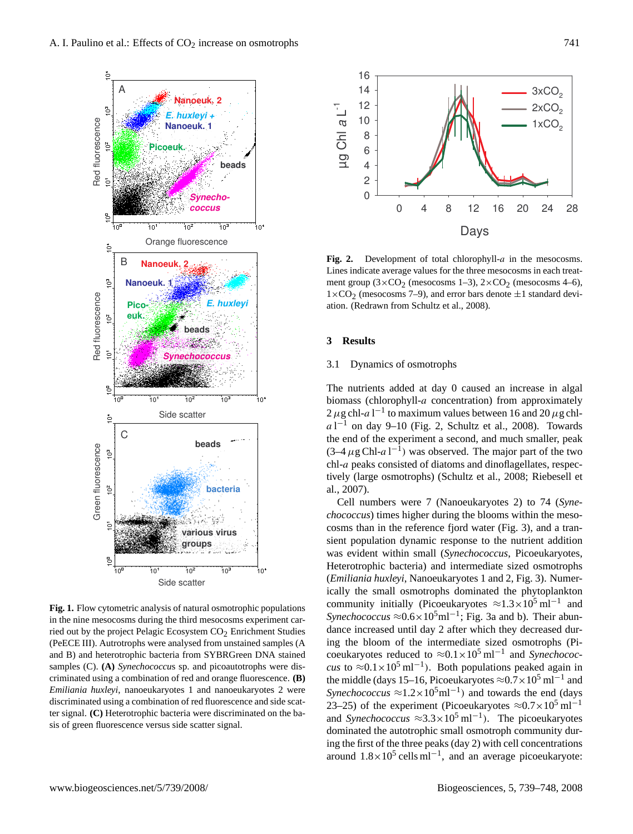

**Fig. 1.** Flow cytometric analysis of natural osmotrophic populations in the nine mesocosms during the third mesocosms experiment carried out by the project Pelagic Ecosystem CO<sub>2</sub> Enrichment Studies (PeECE III). Autrotrophs were analysed from unstained samples (A and B) and heterotrophic bacteria from SYBRGreen DNA stained samples (C). **(A)** *Synechococcu*s sp. and picoautotrophs were discriminated using a combination of red and orange fluorescence. **(B)** *Emiliania huxleyi*, nanoeukaryotes 1 and nanoeukaryotes 2 were discriminated using a combination of red fluorescence and side scatter signal. **(C)** Heterotrophic bacteria were discriminated on the basis of green fluorescence versus side scatter signal.



Fig. 2. Development of total chlorophyll-a in the mesocosms. Lines indicate average values for the three mesocosms in each treatment group  $(3 \times CO_2$  (mesocosms 1–3),  $2 \times CO_2$  (mesocosms 4–6),  $1\times$ CO<sub>2</sub> (mesocosms 7–9), and error bars denote  $\pm$ 1 standard deviation. (Redrawn from Schultz et al., 2008).

#### **3 Results**

## 3.1 Dynamics of osmotrophs

The nutrients added at day 0 caused an increase in algal biomass (chlorophyll-a concentration) from approximately  $2 \mu$ g chl-a l<sup>-1</sup> to maximum values between 16 and 20  $\mu$ g chl $a1^{-1}$  on day 9–10 (Fig. 2, Schultz et al., 2008). Towards the end of the experiment a second, and much smaller, peak  $(3-4 \mu g Chl-a l^{-1})$  was observed. The major part of the two chl-a peaks consisted of diatoms and dinoflagellates, respectively (large osmotrophs) (Schultz et al., 2008; Riebesell et al., 2007).

720 Fig. 2 Heterotrophic bacteria) and intermediate sized osmotrophs Cell numbers were 7 (Nanoeukaryotes 2) to 74 (*Synechococcus*) times higher during the blooms within the mesocosms than in the reference fjord water (Fig. 3), and a transient population dynamic response to the nutrient addition was evident within small (*Synechococcus*, Picoeukaryotes, (*Emiliania huxleyi*, Nanoeukaryotes 1 and 2, Fig. 3). Numerically the small osmotrophs dominated the phytoplankton community initially (Picoeukaryotes  $\approx$ 1.3×10<sup>5</sup> ml<sup>-1</sup> and *Synechococcus* ≈0.6×10<sup>5</sup>ml<sup>-1</sup>; Fig. 3a and b). Their abundance increased until day 2 after which they decreased during the bloom of the intermediate sized osmotrophs (Picoeukaryotes reduced to ≈0.1×10<sup>5</sup> ml−<sup>1</sup> and *Synechococcus* to ≈0.1×10<sup>5</sup> ml<sup>-1</sup>). Both populations peaked again in the middle (days 15–16, Picoeukaryotes  $\approx 0.7 \times 10^5$  ml<sup>-1</sup> and *Synechococcus*  $\approx$ 1.2×10<sup>5</sup>ml<sup>-1</sup>) and towards the end (days 23–25) of the experiment (Picoeukaryotes  $\approx 0.7 \times 10^5$  ml<sup>-1</sup> and *Synechococcus* ≈3.3×10<sup>5</sup> ml−<sup>1</sup> ). The picoeukaryotes dominated the autotrophic small osmotroph community during the first of the three peaks (day 2) with cell concentrations around  $1.8 \times 10^5$  cells ml<sup>-1</sup>, and an average picoeukaryote: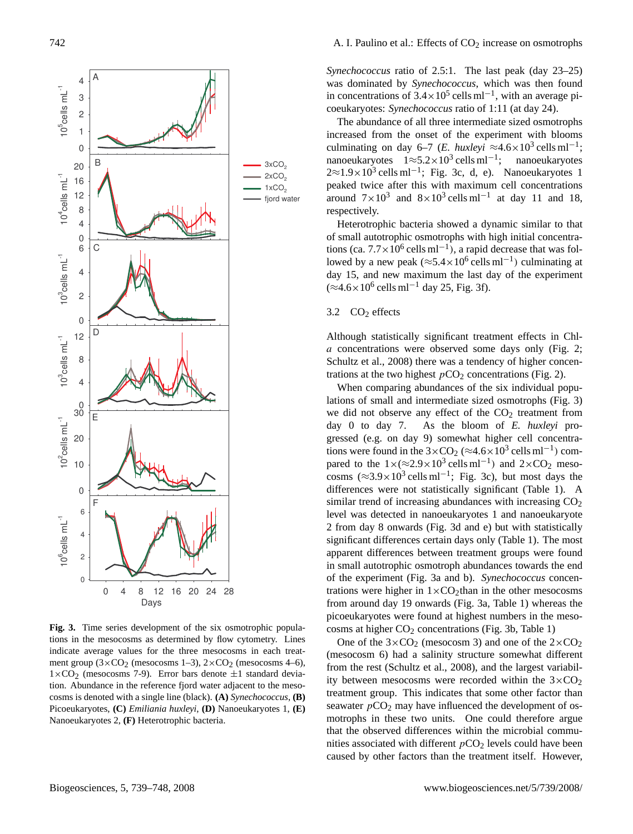

**Fig. 3.** Time series development of the six osmotrophic populations in the mesocosms as determined by flow cytometry. Lines indicate average values for the three mesocosms in each treatment group  $(3 \times CO_2$  (mesocosms 1–3),  $2 \times CO_2$  (mesocosms 4–6),  $1\times$ CO<sub>2</sub> (mesocosms 7-9). Error bars denote  $\pm 1$  standard deviation. Abundance in the reference fjord water adjacent to the mesocosms is denoted with a single line (black). **(A)** *Synechococcus*, **(B)** Picoeukaryotes, **(C)** *Emiliania huxleyi*, **(D)** Nanoeukaryotes 1, **(E)** Nanoeukaryotes 2, **(F)** Heterotrophic bacteria.

*Synechococcus* ratio of 2.5:1. The last peak (day 23–25) was dominated by *Synechococcus*, which was then found in concentrations of  $3.4 \times 10^5$  cells ml<sup>-1</sup>, with an average picoeukaryotes: *Synechococcus* ratio of 1:11 (at day 24).

The abundance of all three intermediate sized osmotrophs increased from the onset of the experiment with blooms culminating on day 6–7 (*E. huxleyi* ≈4.6×10<sup>3</sup> cells ml<sup>-1</sup>; nanoeukaryotes  $1 \approx 5.2 \times 10^3$  cells ml<sup>-1</sup>; nanoeukaryotes  $2 \approx 1.9 \times 10^3$  cells ml<sup>-1</sup>; Fig. 3c, d, e). Nanoeukaryotes 1 peaked twice after this with maximum cell concentrations around  $7 \times 10^3$  and  $8 \times 10^3$  cells ml<sup>-1</sup> at day 11 and 18, respectively.

Heterotrophic bacteria showed a dynamic similar to that of small autotrophic osmotrophs with high initial concentrations (ca.  $7.7 \times 10^6$  cells ml<sup>-1</sup>), a rapid decrease that was followed by a new peak ( $\approx$ 5.4 $\times$ 10<sup>6</sup> cells ml<sup>-1</sup>) culminating at day 15, and new maximum the last day of the experiment  $(\approx 4.6 \times 10^6 \text{ cells m}^{-1} \text{ day } 25, \text{Fig. 3f}).$ 

# 3.2  $CO<sub>2</sub>$  effects

Although statistically significant treatment effects in Chla concentrations were observed some days only (Fig. 2; Schultz et al., 2008) there was a tendency of higher concentrations at the two highest  $pCO_2$  concentrations (Fig. 2).

When comparing abundances of the six individual populations of small and intermediate sized osmotrophs (Fig. 3) we did not observe any effect of the  $CO<sub>2</sub>$  treatment from day 0 to day 7. As the bloom of *E. huxleyi* progressed (e.g. on day 9) somewhat higher cell concentrations were found in the  $3 \times CO_2 \approx 4.6 \times 10^3$  cells ml<sup>-1</sup>) compared to the  $1 \times (\approx 2.9 \times 10^3 \text{ cells m}^{-1})$  and  $2 \times CO_2$  mesocosms  $(\approx 3.9 \times 10^3 \text{ cells m}^{-1})$ ; Fig. 3c), but most days the differences were not statistically significant (Table 1). A similar trend of increasing abundances with increasing  $CO<sub>2</sub>$ level was detected in nanoeukaryotes 1 and nanoeukaryote 2 from day 8 onwards (Fig. 3d and e) but with statistically significant differences certain days only (Table 1). The most apparent differences between treatment groups were found in small autotrophic osmotroph abundances towards the end of the experiment (Fig. 3a and b). *Synechococcus* concentrations were higher in  $1\times$ CO<sub>2</sub>than in the other mesocosms from around day 19 onwards (Fig. 3a, Table 1) whereas the picoeukaryotes were found at highest numbers in the mesocosms at higher  $CO<sub>2</sub>$  concentrations (Fig. 3b, Table 1)

caused by other factors than the treatment itself. However, One of the  $3 \times CO_2$  (mesocosm 3) and one of the  $2 \times CO_2$ (mesocosm 6) had a salinity structure somewhat different from the rest (Schultz et al., 2008), and the largest variability between mesocosms were recorded within the  $3 \times CO_2$ treatment group. This indicates that some other factor than seawater  $pCO<sub>2</sub>$  may have influenced the development of osmotrophs in these two units. One could therefore argue that the observed differences within the microbial communities associated with different  $pCO<sub>2</sub>$  levels could have been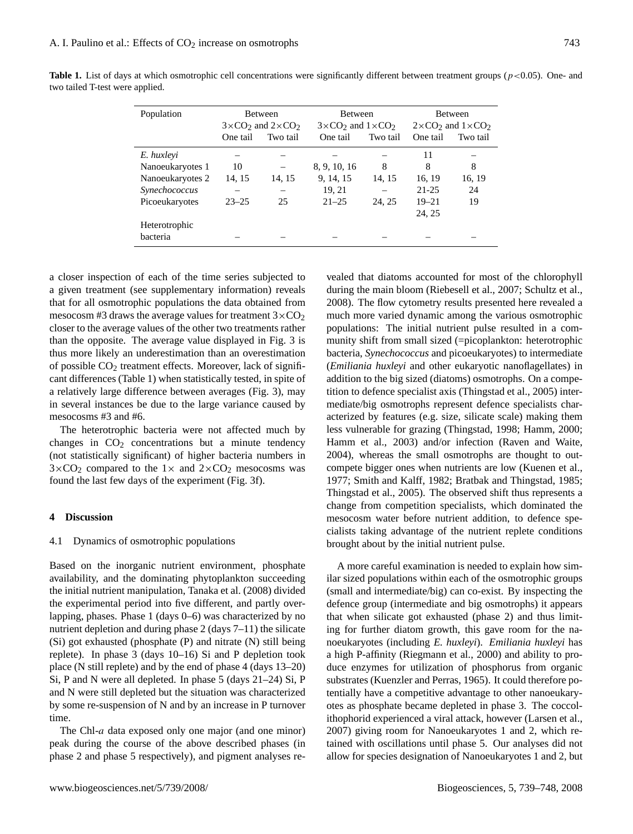| Population       | <b>Between</b>                                          |          | Between                             |          | <b>Between</b>                      |          |
|------------------|---------------------------------------------------------|----------|-------------------------------------|----------|-------------------------------------|----------|
|                  | $3\times$ CO <sub>2</sub> and $2\times$ CO <sub>2</sub> |          | $3 \times CO_2$ and $1 \times CO_2$ |          | $2 \times CO_2$ and $1 \times CO_2$ |          |
|                  | One tail                                                | Two tail | One tail                            | Two tail | One tail                            | Two tail |
| E. huxleyi       |                                                         |          |                                     |          | 11                                  |          |
| Nanoeukaryotes 1 | 10                                                      |          | 8, 9, 10, 16                        | 8        | 8                                   | 8        |
| Nanoeukaryotes 2 | 14, 15                                                  | 14, 15   | 9, 14, 15                           | 14, 15   | 16, 19                              | 16, 19   |
| Synechococcus    |                                                         |          | 19, 21                              |          | 21-25                               | 24       |
| Picoeukaryotes   | $23 - 25$                                               | 25       | $21 - 25$                           | 24, 25   | $19 - 21$                           | 19       |
|                  |                                                         |          |                                     |          | 24, 25                              |          |
| Heterotrophic    |                                                         |          |                                     |          |                                     |          |
| bacteria         |                                                         |          |                                     |          |                                     |          |

**Table 1.** List of days at which osmotrophic cell concentrations were significantly different between treatment groups ( $p < 0.05$ ). One- and two tailed T-test were applied.

a closer inspection of each of the time series subjected to a given treatment (see supplementary information) reveals that for all osmotrophic populations the data obtained from mesocosm #3 draws the average values for treatment  $3 \times CO<sub>2</sub>$ closer to the average values of the other two treatments rather than the opposite. The average value displayed in Fig. 3 is thus more likely an underestimation than an overestimation of possible  $CO<sub>2</sub>$  treatment effects. Moreover, lack of significant differences (Table 1) when statistically tested, in spite of a relatively large difference between averages (Fig. 3), may in several instances be due to the large variance caused by mesocosms #3 and #6.

The heterotrophic bacteria were not affected much by changes in  $CO<sub>2</sub>$  concentrations but a minute tendency (not statistically significant) of higher bacteria numbers in  $3 \times CO_2$  compared to the  $1 \times$  and  $2 \times CO_2$  mesocosms was found the last few days of the experiment (Fig. 3f).

## **4 Discussion**

#### 4.1 Dynamics of osmotrophic populations

Based on the inorganic nutrient environment, phosphate availability, and the dominating phytoplankton succeeding the initial nutrient manipulation, Tanaka et al. (2008) divided the experimental period into five different, and partly overlapping, phases. Phase 1 (days 0–6) was characterized by no nutrient depletion and during phase 2 (days 7–11) the silicate (Si) got exhausted (phosphate (P) and nitrate (N) still being replete). In phase 3 (days 10–16) Si and P depletion took place (N still replete) and by the end of phase 4 (days 13–20) Si, P and N were all depleted. In phase 5 (days 21–24) Si, P and N were still depleted but the situation was characterized by some re-suspension of N and by an increase in P turnover time.

The Chl-a data exposed only one major (and one minor) peak during the course of the above described phases (in phase 2 and phase 5 respectively), and pigment analyses re-

vealed that diatoms accounted for most of the chlorophyll during the main bloom (Riebesell et al., 2007; Schultz et al., 2008). The flow cytometry results presented here revealed a much more varied dynamic among the various osmotrophic populations: The initial nutrient pulse resulted in a community shift from small sized (=picoplankton: heterotrophic bacteria, *Synechococcus* and picoeukaryotes) to intermediate (*Emiliania huxleyi* and other eukaryotic nanoflagellates) in addition to the big sized (diatoms) osmotrophs. On a competition to defence specialist axis (Thingstad et al., 2005) intermediate/big osmotrophs represent defence specialists characterized by features (e.g. size, silicate scale) making them less vulnerable for grazing (Thingstad, 1998; Hamm, 2000; Hamm et al., 2003) and/or infection (Raven and Waite, 2004), whereas the small osmotrophs are thought to outcompete bigger ones when nutrients are low (Kuenen et al., 1977; Smith and Kalff, 1982; Bratbak and Thingstad, 1985; Thingstad et al., 2005). The observed shift thus represents a change from competition specialists, which dominated the mesocosm water before nutrient addition, to defence specialists taking advantage of the nutrient replete conditions brought about by the initial nutrient pulse.

A more careful examination is needed to explain how similar sized populations within each of the osmotrophic groups (small and intermediate/big) can co-exist. By inspecting the defence group (intermediate and big osmotrophs) it appears that when silicate got exhausted (phase 2) and thus limiting for further diatom growth, this gave room for the nanoeukaryotes (including *E. huxleyi*). *Emiliania huxleyi* has a high P-affinity (Riegmann et al., 2000) and ability to produce enzymes for utilization of phosphorus from organic substrates (Kuenzler and Perras, 1965). It could therefore potentially have a competitive advantage to other nanoeukaryotes as phosphate became depleted in phase 3. The coccolithophorid experienced a viral attack, however (Larsen et al., 2007) giving room for Nanoeukaryotes 1 and 2, which retained with oscillations until phase 5. Our analyses did not allow for species designation of Nanoeukaryotes 1 and 2, but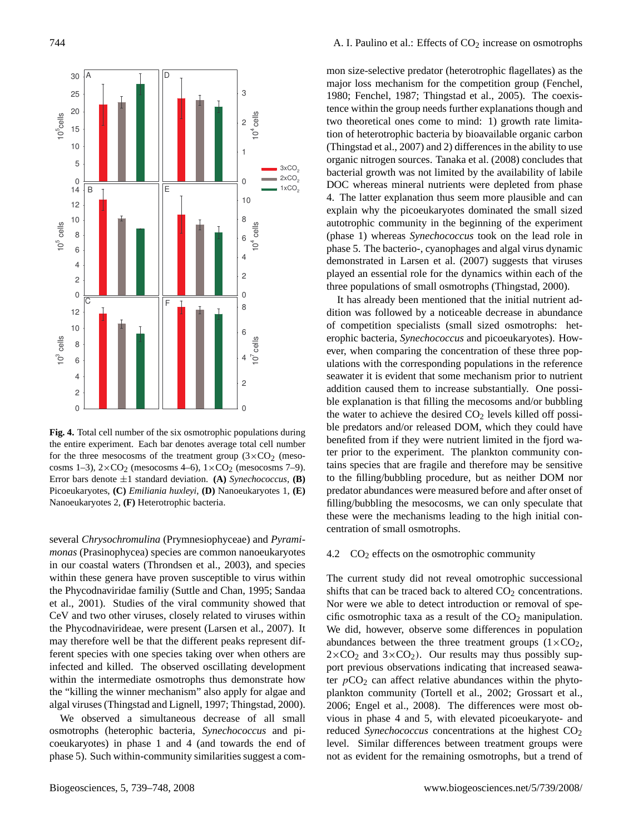

Error bars denote  $\pm 1$  standard deviation. **(A)** *Synechococcus*, **(B) Fig. 4.** Total cell number of the six osmotrophic populations during the entire experiment. Each bar denotes average total cell number for the three mesocosms of the treatment group  $(3 \times CO_2$  (mesocosms 1–3),  $2 \times CO_2$  (mesocosms 4–6),  $1 \times CO_2$  (mesocosms 7–9). Picoeukaryotes, **(C)** *Emiliania huxleyi*, **(D)** Nanoeukaryotes 1, **(E)** Nanoeukaryotes 2, **(F)** Heterotrophic bacteria.

several *Chrysochromulina* (Prymnesiophyceae) and *Pyramimonas* (Prasinophycea) species are common nanoeukaryotes in our coastal waters (Throndsen et al., 2003), and species within these genera have proven susceptible to virus within the Phycodnaviridae familiy (Suttle and Chan, 1995; Sandaa et al., 2001). Studies of the viral community showed that CeV and two other viruses, closely related to viruses within the Phycodnavirideae, were present (Larsen et al., 2007). It may therefore well be that the different peaks represent different species with one species taking over when others are infected and killed. The observed oscillating development within the intermediate osmotrophs thus demonstrate how the "killing the winner mechanism" also apply for algae and algal viruses (Thingstad and Lignell, 1997; Thingstad, 2000).

We observed a simultaneous decrease of all small osmotrophs (heterophic bacteria, *Synechococcus* and picoeukaryotes) in phase 1 and 4 (and towards the end of phase 5). Such within-community similarities suggest a common size-selective predator (heterotrophic flagellates) as the major loss mechanism for the competition group (Fenchel, 1980; Fenchel, 1987; Thingstad et al., 2005). The coexistence within the group needs further explanations though and two theoretical ones come to mind: 1) growth rate limitation of heterotrophic bacteria by bioavailable organic carbon (Thingstad et al., 2007) and 2) differences in the ability to use organic nitrogen sources. Tanaka et al. (2008) concludes that bacterial growth was not limited by the availability of labile DOC whereas mineral nutrients were depleted from phase 4. The latter explanation thus seem more plausible and can explain why the picoeukaryotes dominated the small sized autotrophic community in the beginning of the experiment (phase 1) whereas *Synechococcus* took on the lead role in phase 5. The bacterio-, cyanophages and algal virus dynamic demonstrated in Larsen et al. (2007) suggests that viruses played an essential role for the dynamics within each of the three populations of small osmotrophs (Thingstad, 2000).

It has already been mentioned that the initial nutrient addition was followed by a noticeable decrease in abundance of competition specialists (small sized osmotrophs: heterophic bacteria, *Synechococcus* and picoeukaryotes). However, when comparing the concentration of these three populations with the corresponding populations in the reference seawater it is evident that some mechanism prior to nutrient addition caused them to increase substantially. One possible explanation is that filling the mecosoms and/or bubbling the water to achieve the desired  $CO<sub>2</sub>$  levels killed off possible predators and/or released DOM, which they could have benefited from if they were nutrient limited in the fjord water prior to the experiment. The plankton community contains species that are fragile and therefore may be sensitive to the filling/bubbling procedure, but as neither DOM nor predator abundances were measured before and after onset of filling/bubbling the mesocosms, we can only speculate that these were the mechanisms leading to the high initial concentration of small osmotrophs.

#### 4.2  $CO<sub>2</sub>$  effects on the osmotrophic community

abundances between the three treatment groups  $(1 \times CO<sub>2</sub>)$ , The current study did not reveal omotrophic successional shifts that can be traced back to altered  $CO<sub>2</sub>$  concentrations. Nor were we able to detect introduction or removal of specific osmotrophic taxa as a result of the  $CO<sub>2</sub>$  manipulation. We did, however, observe some differences in population  $2\times$ CO<sub>2</sub> and  $3\times$ CO<sub>2</sub>). Our results may thus possibly support previous observations indicating that increased seawater  $pCO<sub>2</sub>$  can affect relative abundances within the phytoplankton community (Tortell et al., 2002; Grossart et al., 2006; Engel et al., 2008). The differences were most obvious in phase 4 and 5, with elevated picoeukaryote- and reduced *Synechococcus* concentrations at the highest  $CO<sub>2</sub>$ level. Similar differences between treatment groups were not as evident for the remaining osmotrophs, but a trend of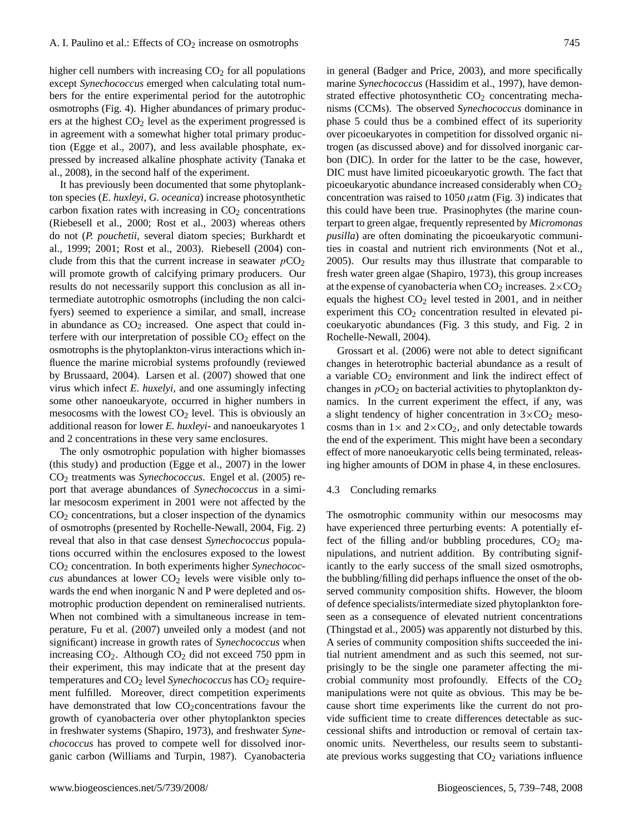higher cell numbers with increasing  $CO<sub>2</sub>$  for all populations except *Synechococcus* emerged when calculating total numbers for the entire experimental period for the autotrophic osmotrophs (Fig. 4). Higher abundances of primary producers at the highest  $CO<sub>2</sub>$  level as the experiment progressed is in agreement with a somewhat higher total primary production (Egge et al., 2007), and less available phosphate, expressed by increased alkaline phosphate activity (Tanaka et al., 2008), in the second half of the experiment.

It has previously been documented that some phytoplankton species (*E. huxleyi*, *G. oceanica*) increase photosynthetic carbon fixation rates with increasing in  $CO<sub>2</sub>$  concentrations (Riebesell et al., 2000; Rost et al., 2003) whereas others do not (*P. pouchetii*, several diatom species; Burkhardt et al., 1999; 2001; Rost et al., 2003). Riebesell (2004) conclude from this that the current increase in seawater  $pCO<sub>2</sub>$ will promote growth of calcifying primary producers. Our results do not necessarily support this conclusion as all intermediate autotrophic osmotrophs (including the non calcifyers) seemed to experience a similar, and small, increase in abundance as  $CO<sub>2</sub>$  increased. One aspect that could interfere with our interpretation of possible  $CO<sub>2</sub>$  effect on the osmotrophs is the phytoplankton-virus interactions which influence the marine microbial systems profoundly (reviewed by Brussaard, 2004). Larsen et al. (2007) showed that one virus which infect *E. huxelyi*, and one assumingly infecting some other nanoeukaryote, occurred in higher numbers in mesocosms with the lowest  $CO<sub>2</sub>$  level. This is obviously an additional reason for lower *E. huxleyi*- and nanoeukaryotes 1 and 2 concentrations in these very same enclosures.

The only osmotrophic population with higher biomasses (this study) and production (Egge et al., 2007) in the lower CO<sup>2</sup> treatments was *Synechococcus*. Engel et al. (2005) report that average abundances of *Synechococcus* in a similar mesocosm experiment in 2001 were not affected by the  $CO<sub>2</sub>$  concentrations, but a closer inspection of the dynamics of osmotrophs (presented by Rochelle-Newall, 2004, Fig. 2) reveal that also in that case densest *Synechococcus* populations occurred within the enclosures exposed to the lowest CO<sup>2</sup> concentration. In both experiments higher *Synechococ-* $\cos$  abundances at lower  $CO<sub>2</sub>$  levels were visible only towards the end when inorganic N and P were depleted and osmotrophic production dependent on remineralised nutrients. When not combined with a simultaneous increase in temperature, Fu et al. (2007) unveiled only a modest (and not significant) increase in growth rates of *Synechococcus* when increasing  $CO<sub>2</sub>$ . Although  $CO<sub>2</sub>$  did not exceed 750 ppm in their experiment, this may indicate that at the present day temperatures and CO<sub>2</sub> level *Synechococcus* has CO<sub>2</sub> requirement fulfilled. Moreover, direct competition experiments have demonstrated that low  $CO<sub>2</sub>$  concentrations favour the growth of cyanobacteria over other phytoplankton species in freshwater systems (Shapiro, 1973), and freshwater *Synechococcus* has proved to compete well for dissolved inorganic carbon (Williams and Turpin, 1987). Cyanobacteria

in general (Badger and Price, 2003), and more specifically marine *Synechococcus* (Hassidim et al., 1997), have demonstrated effective photosynthetic  $CO<sub>2</sub>$  concentrating mechanisms (CCMs). The observed *Synechococcus* dominance in phase 5 could thus be a combined effect of its superiority over picoeukaryotes in competition for dissolved organic nitrogen (as discussed above) and for dissolved inorganic carbon (DIC). In order for the latter to be the case, however, DIC must have limited picoeukaryotic growth. The fact that picoeukaryotic abundance increased considerably when CO<sub>2</sub> concentration was raised to  $1050 \mu$ atm (Fig. 3) indicates that this could have been true. Prasinophytes (the marine counterpart to green algae, frequently represented by *Micromonas pusilla*) are often dominating the picoeukaryotic communities in coastal and nutrient rich environments (Not et al., 2005). Our results may thus illustrate that comparable to fresh water green algae (Shapiro, 1973), this group increases at the expense of cyanobacteria when  $CO_2$  increases.  $2 \times CO_2$ equals the highest  $CO<sub>2</sub>$  level tested in 2001, and in neither experiment this  $CO<sub>2</sub>$  concentration resulted in elevated picoeukaryotic abundances (Fig. 3 this study, and Fig. 2 in Rochelle-Newall, 2004).

Grossart et al. (2006) were not able to detect significant changes in heterotrophic bacterial abundance as a result of a variable CO<sup>2</sup> environment and link the indirect effect of changes in  $pCO<sub>2</sub>$  on bacterial activities to phytoplankton dynamics. In the current experiment the effect, if any, was a slight tendency of higher concentration in  $3 \times CO_2$  mesocosms than in  $1 \times$  and  $2 \times CO_2$ , and only detectable towards the end of the experiment. This might have been a secondary effect of more nanoeukaryotic cells being terminated, releasing higher amounts of DOM in phase 4, in these enclosures.

#### 4.3 Concluding remarks

The osmotrophic community within our mesocosms may have experienced three perturbing events: A potentially effect of the filling and/or bubbling procedures,  $CO<sub>2</sub>$  manipulations, and nutrient addition. By contributing significantly to the early success of the small sized osmotrophs, the bubbling/filling did perhaps influence the onset of the observed community composition shifts. However, the bloom of defence specialists/intermediate sized phytoplankton foreseen as a consequence of elevated nutrient concentrations (Thingstad et al., 2005) was apparently not disturbed by this. A series of community composition shifts succeeded the initial nutrient amendment and as such this seemed, not surprisingly to be the single one parameter affecting the microbial community most profoundly. Effects of the  $CO<sub>2</sub>$ manipulations were not quite as obvious. This may be because short time experiments like the current do not provide sufficient time to create differences detectable as successional shifts and introduction or removal of certain taxonomic units. Nevertheless, our results seem to substantiate previous works suggesting that  $CO<sub>2</sub>$  variations influence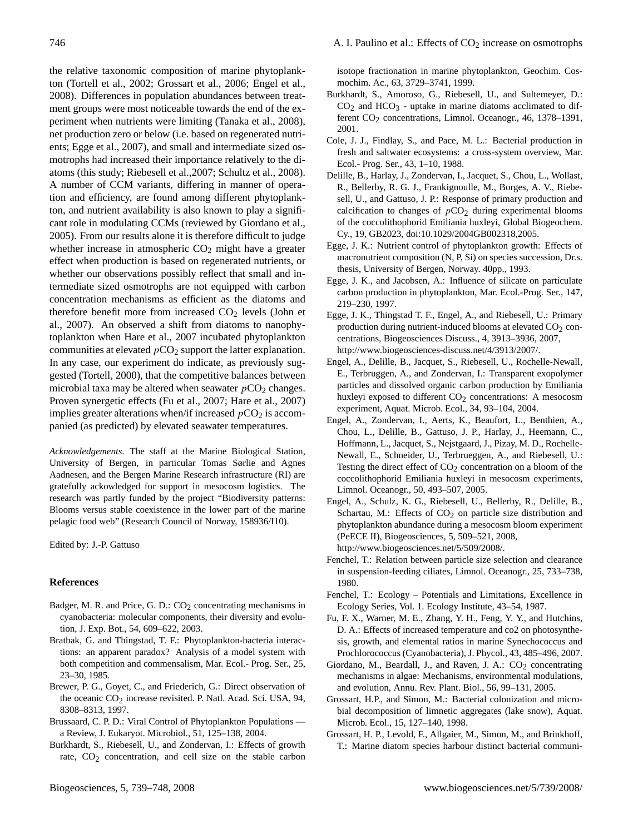isotope fractionation in marine phytoplankton, Geochim. Cosmochim. Ac., 63, 3729–3741, 1999.

- Burkhardt, S., Amoroso, G., Riebesell, U., and Sultemeyer, D.:  $CO<sub>2</sub>$  and  $HCO<sub>3</sub>$  - uptake in marine diatoms acclimated to different CO<sub>2</sub> concentrations, Limnol. Oceanogr., 46, 1378-1391, 2001.
- Cole, J. J., Findlay, S., and Pace, M. L.: Bacterial production in fresh and saltwater ecosystems: a cross-system overview, Mar. Ecol.- Prog. Ser., 43, 1–10, 1988.
- Delille, B., Harlay, J., Zondervan, I., Jacquet, S., Chou, L., Wollast, R., Bellerby, R. G. J., Frankignoulle, M., Borges, A. V., Riebesell, U., and Gattuso, J. P.: Response of primary production and calcification to changes of  $pCO<sub>2</sub>$  during experimental blooms of the coccolithophorid Emiliania huxleyi, Global Biogeochem. Cy., 19, GB2023, doi:10.1029/2004GB002318,2005.
- Egge, J. K.: Nutrient control of phytoplankton growth: Effects of macronutrient composition (N, P, Si) on species succession, Dr.s. thesis, University of Bergen, Norway. 40pp., 1993.
- Egge, J. K., and Jacobsen, A.: Influence of silicate on particulate carbon production in phytoplankton, Mar. Ecol.-Prog. Ser., 147, 219–230, 1997.
- Egge, J. K., Thingstad T. F., Engel, A., and Riebesell, U.: Primary production during nutrient-induced blooms at elevated  $CO<sub>2</sub>$  concentrations, Biogeosciences Discuss., 4, 3913–3936, 2007, [http://www.biogeosciences-discuss.net/4/3913/2007/.](http://www.biogeosciences-discuss.net/4/3913/2007/)
- Engel, A., Delille, B., Jacquet, S., Riebesell, U., Rochelle-Newall, E., Terbruggen, A., and Zondervan, I.: Transparent exopolymer particles and dissolved organic carbon production by Emiliania huxleyi exposed to different  $CO<sub>2</sub>$  concentrations: A mesocosm experiment, Aquat. Microb. Ecol., 34, 93–104, 2004.
- Engel, A., Zondervan, I., Aerts, K., Beaufort, L., Benthien, A., Chou, L., Delille, B., Gattuso, J. P., Harlay, J., Heemann, C., Hoffmann, L., Jacquet, S., Nejstgaard, J., Pizay, M. D., Rochelle-Newall, E., Schneider, U., Terbrueggen, A., and Riebesell, U.: Testing the direct effect of  $CO<sub>2</sub>$  concentration on a bloom of the coccolithophorid Emiliania huxleyi in mesocosm experiments, Limnol. Oceanogr., 50, 493–507, 2005.
- Engel, A., Schulz, K. G., Riebesell, U., Bellerby, R., Delille, B., Schartau, M.: Effects of  $CO<sub>2</sub>$  on particle size distribution and phytoplankton abundance during a mesocosm bloom experiment (PeECE II), Biogeosciences, 5, 509–521, 2008, [http://www.biogeosciences.net/5/509/2008/.](http://www.biogeosciences.net/5/509/2008/)
- Fenchel, T.: Relation between particle size selection and clearance in suspension-feeding ciliates, Limnol. Oceanogr., 25, 733–738, 1980.
- Fenchel, T.: Ecology Potentials and Limitations, Excellence in Ecology Series, Vol. 1. Ecology Institute, 43–54, 1987.
- Fu, F. X., Warner, M. E., Zhang, Y. H., Feng, Y. Y., and Hutchins, D. A.: Effects of increased temperature and co2 on photosynthesis, growth, and elemental ratios in marine Synechococcus and Prochlorococcus (Cyanobacteria), J. Phycol., 43, 485–496, 2007.
- Giordano, M., Beardall, J., and Raven, J. A.:  $CO<sub>2</sub>$  concentrating mechanisms in algae: Mechanisms, environmental modulations, and evolution, Annu. Rev. Plant. Biol., 56, 99–131, 2005.
- Grossart, H.P., and Simon, M.: Bacterial colonization and microbial decomposition of limnetic aggregates (lake snow), Aquat. Microb. Ecol., 15, 127–140, 1998.
- Grossart, H. P., Levold, F., Allgaier, M., Simon, M., and Brinkhoff, T.: Marine diatom species harbour distinct bacterial communi-

the relative taxonomic composition of marine phytoplankton (Tortell et al., 2002; Grossart et al., 2006; Engel et al., 2008). Differences in population abundances between treatment groups were most noticeable towards the end of the experiment when nutrients were limiting (Tanaka et al., 2008), net production zero or below (i.e. based on regenerated nutrients; Egge et al., 2007), and small and intermediate sized osmotrophs had increased their importance relatively to the diatoms (this study; Riebesell et al.,2007; Schultz et al., 2008). A number of CCM variants, differing in manner of operation and efficiency, are found among different phytoplankton, and nutrient availability is also known to play a significant role in modulating CCMs (reviewed by Giordano et al., 2005). From our results alone it is therefore difficult to judge whether increase in atmospheric  $CO<sub>2</sub>$  might have a greater effect when production is based on regenerated nutrients, or whether our observations possibly reflect that small and intermediate sized osmotrophs are not equipped with carbon concentration mechanisms as efficient as the diatoms and therefore benefit more from increased  $CO<sub>2</sub>$  levels (John et al., 2007). An observed a shift from diatoms to nanophytoplankton when Hare et al., 2007 incubated phytoplankton communities at elevated  $pCO<sub>2</sub>$  support the latter explanation. In any case, our experiment do indicate, as previously suggested (Tortell, 2000), that the competitive balances between microbial taxa may be altered when seawater  $pCO<sub>2</sub>$  changes. Proven synergetic effects (Fu et al., 2007; Hare et al., 2007) implies greater alterations when/if increased  $pCO_2$  is accom-

panied (as predicted) by elevated seawater temperatures.

*Acknowledgements.* The staff at the Marine Biological Station, University of Bergen, in particular Tomas Sørlie and Agnes Aadnesen, and the Bergen Marine Research infrastructure (RI) are gratefully ackowledged for support in mesocosm logistics. The research was partly funded by the project "Biodiversity patterns: Blooms versus stable coexistence in the lower part of the marine pelagic food web" (Research Council of Norway, 158936/I10).

Edited by: J.-P. Gattuso

# **References**

- Badger, M. R. and Price, G. D.:  $CO<sub>2</sub>$  concentrating mechanisms in cyanobacteria: molecular components, their diversity and evolution, J. Exp. Bot., 54, 609–622, 2003.
- Bratbak, G. and Thingstad, T. F.: Phytoplankton-bacteria interactions: an apparent paradox? Analysis of a model system with both competition and commensalism, Mar. Ecol.- Prog. Ser., 25, 23–30, 1985.
- Brewer, P. G., Goyet, C., and Friederich, G.: Direct observation of the oceanic CO<sub>2</sub> increase revisited. P. Natl. Acad. Sci. USA, 94, 8308–8313, 1997.
- Brussaard, C. P. D.: Viral Control of Phytoplankton Populations a Review, J. Eukaryot. Microbiol., 51, 125–138, 2004.
- Burkhardt, S., Riebesell, U., and Zondervan, I.: Effects of growth rate, CO2 concentration, and cell size on the stable carbon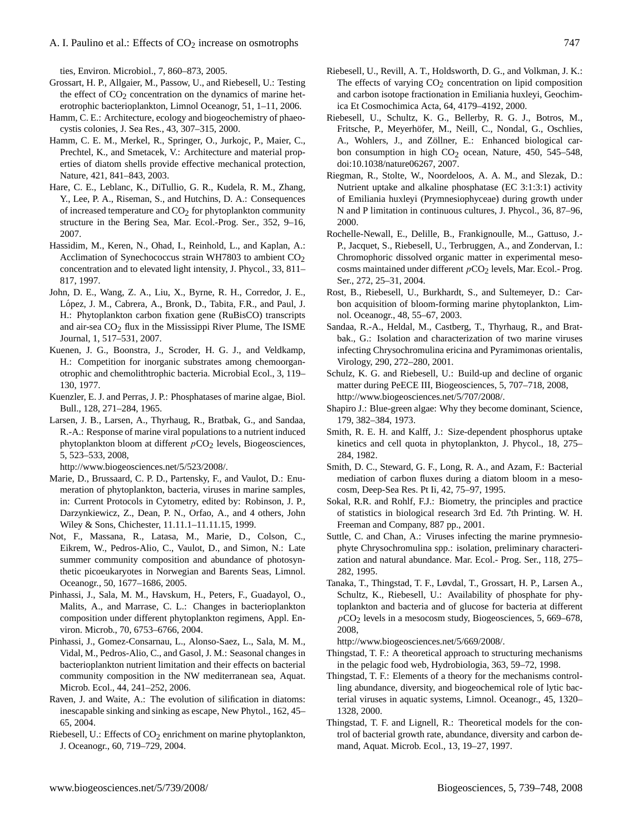ties, Environ. Microbiol., 7, 860–873, 2005.

- Grossart, H. P., Allgaier, M., Passow, U., and Riebesell, U.: Testing the effect of  $CO<sub>2</sub>$  concentration on the dynamics of marine heterotrophic bacterioplankton, Limnol Oceanogr, 51, 1–11, 2006.
- Hamm, C. E.: Architecture, ecology and biogeochemistry of phaeocystis colonies, J. Sea Res., 43, 307–315, 2000.
- Hamm, C. E. M., Merkel, R., Springer, O., Jurkojc, P., Maier, C., Prechtel, K., and Smetacek, V.: Architecture and material properties of diatom shells provide effective mechanical protection, Nature, 421, 841–843, 2003.
- Hare, C. E., Leblanc, K., DiTullio, G. R., Kudela, R. M., Zhang, Y., Lee, P. A., Riseman, S., and Hutchins, D. A.: Consequences of increased temperature and  $CO<sub>2</sub>$  for phytoplankton community structure in the Bering Sea, Mar. Ecol.-Prog. Ser., 352, 9–16, 2007.
- Hassidim, M., Keren, N., Ohad, I., Reinhold, L., and Kaplan, A.: Acclimation of Synechococcus strain WH7803 to ambient  $CO<sub>2</sub>$ concentration and to elevated light intensity, J. Phycol., 33, 811– 817, 1997.
- John, D. E., Wang, Z. A., Liu, X., Byrne, R. H., Corredor, J. E., López, J. M., Cabrera, A., Bronk, D., Tabita, F.R., and Paul, J. H.: Phytoplankton carbon fixation gene (RuBisCO) transcripts and air-sea  $CO<sub>2</sub>$  flux in the Mississippi River Plume, The ISME Journal, 1, 517–531, 2007.
- Kuenen, J. G., Boonstra, J., Scroder, H. G. J., and Veldkamp, H.: Competition for inorganic substrates among chemoorganotrophic and chemolithtrophic bacteria. Microbial Ecol., 3, 119– 130, 1977.
- Kuenzler, E. J. and Perras, J. P.: Phosphatases of marine algae, Biol. Bull., 128, 271–284, 1965.
- Larsen, J. B., Larsen, A., Thyrhaug, R., Bratbak, G., and Sandaa, R.-A.: Response of marine viral populations to a nutrient induced phytoplankton bloom at different  $pCO<sub>2</sub>$  levels, Biogeosciences, 5, 523–533, 2008,

[http://www.biogeosciences.net/5/523/2008/.](http://www.biogeosciences.net/5/523/2008/)

- Marie, D., Brussaard, C. P. D., Partensky, F., and Vaulot, D.: Enumeration of phytoplankton, bacteria, viruses in marine samples, in: Current Protocols in Cytometry, edited by: Robinson, J. P., Darzynkiewicz, Z., Dean, P. N., Orfao, A., and 4 others, John Wiley & Sons, Chichester, 11.11.1–11.11.15, 1999.
- Not, F., Massana, R., Latasa, M., Marie, D., Colson, C., Eikrem, W., Pedros-Alio, C., Vaulot, D., and Simon, N.: Late summer community composition and abundance of photosynthetic picoeukaryotes in Norwegian and Barents Seas, Limnol. Oceanogr., 50, 1677–1686, 2005.
- Pinhassi, J., Sala, M. M., Havskum, H., Peters, F., Guadayol, O., Malits, A., and Marrase, C. L.: Changes in bacterioplankton composition under different phytoplankton regimens, Appl. Environ. Microb., 70, 6753–6766, 2004.
- Pinhassi, J., Gomez-Consarnau, L., Alonso-Saez, L., Sala, M. M., Vidal, M., Pedros-Alio, C., and Gasol, J. M.: Seasonal changes in bacterioplankton nutrient limitation and their effects on bacterial community composition in the NW mediterranean sea, Aquat. Microb. Ecol., 44, 241–252, 2006.
- Raven, J. and Waite, A.: The evolution of silification in diatoms: inescapable sinking and sinking as escape, New Phytol., 162, 45– 65, 2004.
- Riebesell, U.: Effects of CO<sub>2</sub> enrichment on marine phytoplankton, J. Oceanogr., 60, 719–729, 2004.
- Riebesell, U., Revill, A. T., Holdsworth, D. G., and Volkman, J. K.: The effects of varying  $CO<sub>2</sub>$  concentration on lipid composition and carbon isotope fractionation in Emiliania huxleyi, Geochimica Et Cosmochimica Acta, 64, 4179–4192, 2000.
- Riebesell, U., Schultz, K. G., Bellerby, R. G. J., Botros, M., Fritsche, P., Meyerhöfer, M., Neill, C., Nondal, G., Oschlies, A., Wohlers, J., and Zöllner, E.: Enhanced biological carbon consumption in high  $CO<sub>2</sub>$  ocean, Nature, 450, 545–548, doi:10.1038/nature06267, 2007.
- Riegman, R., Stolte, W., Noordeloos, A. A. M., and Slezak, D.: Nutrient uptake and alkaline phosphatase (EC 3:1:3:1) activity of Emiliania huxleyi (Prymnesiophyceae) during growth under N and P limitation in continuous cultures, J. Phycol., 36, 87–96, 2000.
- Rochelle-Newall, E., Delille, B., Frankignoulle, M.., Gattuso, J.- P., Jacquet, S., Riebesell, U., Terbruggen, A., and Zondervan, I.: Chromophoric dissolved organic matter in experimental mesocosms maintained under different  $pCO<sub>2</sub>$  levels, Mar. Ecol.- Prog. Ser., 272, 25–31, 2004.
- Rost, B., Riebesell, U., Burkhardt, S., and Sultemeyer, D.: Carbon acquisition of bloom-forming marine phytoplankton, Limnol. Oceanogr., 48, 55–67, 2003.
- Sandaa, R.-A., Heldal, M., Castberg, T., Thyrhaug, R., and Bratbak., G.: Isolation and characterization of two marine viruses infecting Chrysochromulina ericina and Pyramimonas orientalis, Virology, 290, 272–280, 2001.
- Schulz, K. G. and Riebesell, U.: Build-up and decline of organic matter during PeECE III, Biogeosciences, 5, 707–718, 2008, [http://www.biogeosciences.net/5/707/2008/.](http://www.biogeosciences.net/5/707/2008/)
- Shapiro J.: Blue-green algae: Why they become dominant, Science, 179, 382–384, 1973.
- Smith, R. E. H. and Kalff, J.: Size-dependent phosphorus uptake kinetics and cell quota in phytoplankton, J. Phycol., 18, 275– 284, 1982.
- Smith, D. C., Steward, G. F., Long, R. A., and Azam, F.: Bacterial mediation of carbon fluxes during a diatom bloom in a mesocosm, Deep-Sea Res. Pt Ii, 42, 75–97, 1995.
- Sokal, R.R. and Rohlf, F.J.: Biometry, the principles and practice of statistics in biological research 3rd Ed. 7th Printing. W. H. Freeman and Company, 887 pp., 2001.
- Suttle, C. and Chan, A.: Viruses infecting the marine prymnesiophyte Chrysochromulina spp.: isolation, preliminary characterization and natural abundance. Mar. Ecol.- Prog. Ser., 118, 275– 282, 1995.
- Tanaka, T., Thingstad, T. F., Løvdal, T., Grossart, H. P., Larsen A., Schultz, K., Riebesell, U.: Availability of phosphate for phytoplankton and bacteria and of glucose for bacteria at different  $pCO<sub>2</sub>$  levels in a mesocosm study, Biogeosciences, 5, 669–678, 2008,

[http://www.biogeosciences.net/5/669/2008/.](http://www.biogeosciences.net/5/669/2008/)

- Thingstad, T. F.: A theoretical approach to structuring mechanisms in the pelagic food web, Hydrobiologia, 363, 59–72, 1998.
- Thingstad, T. F.: Elements of a theory for the mechanisms controlling abundance, diversity, and biogeochemical role of lytic bacterial viruses in aquatic systems, Limnol. Oceanogr., 45, 1320– 1328, 2000.
- Thingstad, T. F. and Lignell, R.: Theoretical models for the control of bacterial growth rate, abundance, diversity and carbon demand, Aquat. Microb. Ecol., 13, 19–27, 1997.